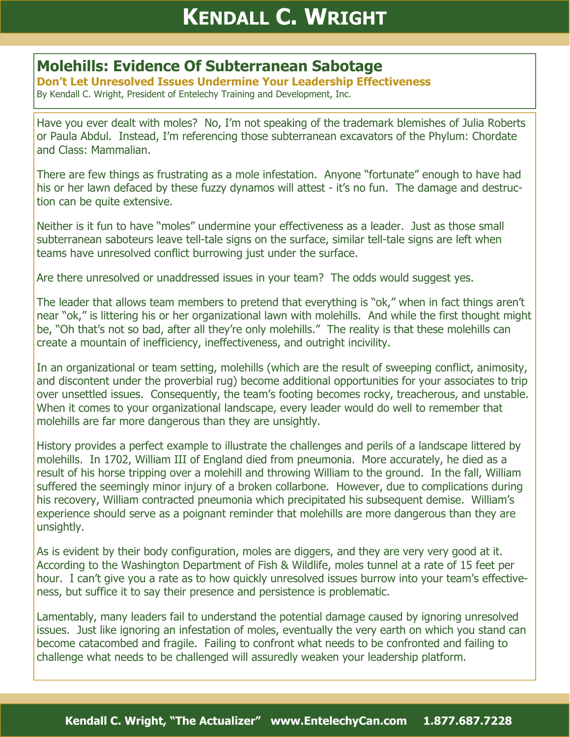## **KENDALL C. WRIGHT**

## **Molehills: Evidence Of Subterranean Sabotage**

**Don't Let Unresolved Issues Undermine Your Leadership Effectiveness**  By Kendall C. Wright, President of Entelechy Training and Development, Inc.

Have you ever dealt with moles? No, I'm not speaking of the trademark blemishes of Julia Roberts or Paula Abdul. Instead, I'm referencing those subterranean excavators of the Phylum: Chordate and Class: Mammalian.

There are few things as frustrating as a mole infestation. Anyone "fortunate" enough to have had his or her lawn defaced by these fuzzy dynamos will attest - it's no fun. The damage and destruction can be quite extensive.

Neither is it fun to have "moles" undermine your effectiveness as a leader. Just as those small subterranean saboteurs leave tell-tale signs on the surface, similar tell-tale signs are left when teams have unresolved conflict burrowing just under the surface.

Are there unresolved or unaddressed issues in your team? The odds would suggest yes.

The leader that allows team members to pretend that everything is "ok," when in fact things aren't near "ok," is littering his or her organizational lawn with molehills. And while the first thought might be, "Oh that's not so bad, after all they're only molehills." The reality is that these molehills can create a mountain of inefficiency, ineffectiveness, and outright incivility.

In an organizational or team setting, molehills (which are the result of sweeping conflict, animosity, and discontent under the proverbial rug) become additional opportunities for your associates to trip over unsettled issues. Consequently, the team's footing becomes rocky, treacherous, and unstable. When it comes to your organizational landscape, every leader would do well to remember that molehills are far more dangerous than they are unsightly.

History provides a perfect example to illustrate the challenges and perils of a landscape littered by molehills. In 1702, William III of England died from pneumonia. More accurately, he died as a result of his horse tripping over a molehill and throwing William to the ground. In the fall, William suffered the seemingly minor injury of a broken collarbone. However, due to complications during his recovery, William contracted pneumonia which precipitated his subsequent demise. William's experience should serve as a poignant reminder that molehills are more dangerous than they are unsightly.

As is evident by their body configuration, moles are diggers, and they are very very good at it. According to the Washington Department of Fish & Wildlife, moles tunnel at a rate of 15 feet per hour. I can't give you a rate as to how quickly unresolved issues burrow into your team's effectiveness, but suffice it to say their presence and persistence is problematic.

Lamentably, many leaders fail to understand the potential damage caused by ignoring unresolved issues. Just like ignoring an infestation of moles, eventually the very earth on which you stand can become catacombed and fragile. Failing to confront what needs to be confronted and failing to challenge what needs to be challenged will assuredly weaken your leadership platform.